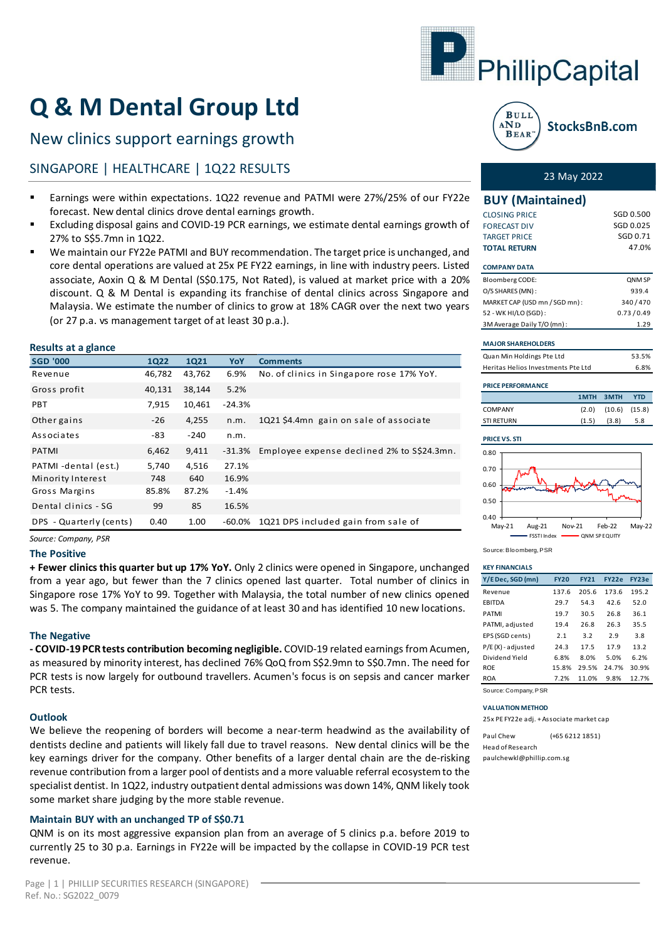

# **Q & M Dental Group Ltd**

### New clinics support earnings growth

### SINGAPORE | HEALTHCARE | 1Q22 RESULTS 23 May 2022

- Earnings were within expectations. 1Q22 revenue and PATMI were 27%/25% of our FY22e forecast. New dental clinics drove dental earnings growth.
- Excluding disposal gains and COVID-19 PCR earnings, we estimate dental earnings growth of 27% to S\$5.7mn in 1Q22.
- We maintain our FY22e PATMI and BUY recommendation. The target price is unchanged, and core dental operations are valued at 25x PE FY22 earnings, in line with industry peers. Listed associate, Aoxin Q & M Dental (S\$0.175, Not Rated), is valued at market price with a 20% discount. Q & M Dental is expanding its franchise of dental clinics across Singapore and Malaysia. We estimate the number of clinics to grow at 18% CAGR over the next two years (or 27 p.a. vs management target of at least 30 p.a.).

#### **Results at a glance**

| <b>SGD '000</b>                                                                                                                                                                                                                                                                                                                                                                                                                                                                                                                                                                                                           | <b>1Q22</b> | <b>1Q21</b> | YoY      | <b>Comments</b>                                                                                                                                                                            |  |  |  |  |  |  |
|---------------------------------------------------------------------------------------------------------------------------------------------------------------------------------------------------------------------------------------------------------------------------------------------------------------------------------------------------------------------------------------------------------------------------------------------------------------------------------------------------------------------------------------------------------------------------------------------------------------------------|-------------|-------------|----------|--------------------------------------------------------------------------------------------------------------------------------------------------------------------------------------------|--|--|--|--|--|--|
| Revenue                                                                                                                                                                                                                                                                                                                                                                                                                                                                                                                                                                                                                   | 46,782      | 43,762      | 6.9%     | No. of clinics in Singapore rose 17% YoY.                                                                                                                                                  |  |  |  |  |  |  |
| Gross profit                                                                                                                                                                                                                                                                                                                                                                                                                                                                                                                                                                                                              | 40,131      | 38,144      | 5.2%     |                                                                                                                                                                                            |  |  |  |  |  |  |
| PBT                                                                                                                                                                                                                                                                                                                                                                                                                                                                                                                                                                                                                       | 7,915       | 10,461      | $-24.3%$ |                                                                                                                                                                                            |  |  |  |  |  |  |
| Other gains                                                                                                                                                                                                                                                                                                                                                                                                                                                                                                                                                                                                               | $-26$       | 4,255       | n.m.     | 1Q21 \$4.4mn gain on sale of associate                                                                                                                                                     |  |  |  |  |  |  |
| Associates                                                                                                                                                                                                                                                                                                                                                                                                                                                                                                                                                                                                                | -83         | $-240$      | n.m.     |                                                                                                                                                                                            |  |  |  |  |  |  |
| <b>PATMI</b>                                                                                                                                                                                                                                                                                                                                                                                                                                                                                                                                                                                                              | 6,462       | 9,411       | $-31.3%$ | Employee expense declined 2% to S\$24.3mn.                                                                                                                                                 |  |  |  |  |  |  |
| PATMI-dental (est.)                                                                                                                                                                                                                                                                                                                                                                                                                                                                                                                                                                                                       | 5,740       | 4,516       | 27.1%    |                                                                                                                                                                                            |  |  |  |  |  |  |
| Minority Interest                                                                                                                                                                                                                                                                                                                                                                                                                                                                                                                                                                                                         | 748         | 640         | 16.9%    |                                                                                                                                                                                            |  |  |  |  |  |  |
| Gross Margins                                                                                                                                                                                                                                                                                                                                                                                                                                                                                                                                                                                                             | 85.8%       | 87.2%       | $-1.4%$  |                                                                                                                                                                                            |  |  |  |  |  |  |
| Dental clinics - SG                                                                                                                                                                                                                                                                                                                                                                                                                                                                                                                                                                                                       | 99          | 85          | 16.5%    |                                                                                                                                                                                            |  |  |  |  |  |  |
| DPS - Quarterly (cents)                                                                                                                                                                                                                                                                                                                                                                                                                                                                                                                                                                                                   | 0.40        | 1.00        | $-60.0%$ | 1Q21 DPS included gain from sale of                                                                                                                                                        |  |  |  |  |  |  |
| Source: Company, PSR<br><b>The Positive</b>                                                                                                                                                                                                                                                                                                                                                                                                                                                                                                                                                                               |             |             |          |                                                                                                                                                                                            |  |  |  |  |  |  |
| from a year ago, but fewer than the 7 clinics opened last quarter. Total number of clinics<br>Singapore rose 17% YoY to 99. Together with Malaysia, the total number of new clinics oper<br>was 5. The company maintained the guidance of at least 30 and has identified 10 new location<br><b>The Negative</b><br>- COVID-19 PCR tests contribution becoming negligible. COVID-19 related earnings from Acum<br>as measured by minority interest, has declined 76% QoQ from S\$2.9mn to S\$0.7mn. The need<br>PCR tests is now largely for outbound travellers. Acumen's focus is on sepsis and cancer mar<br>PCR tests. |             |             |          |                                                                                                                                                                                            |  |  |  |  |  |  |
| <b>Outlook</b><br>We believe the reopening of borders will become a near-term headwind as the availability<br>dentists decline and patients will likely fall due to travel reasons. New dental clinics will be t<br>key earnings driver for the company. Other benefits of a larger dental chain are the de-risk<br>revenue contribution from a larger pool of dentists and a more valuable referral ecosystem to 1<br>specialist dentist. In 1Q22, industry outpatient dental admissions was down 14%, QNM likely to<br>some market share judging by the more stable revenue.                                            |             |             |          |                                                                                                                                                                                            |  |  |  |  |  |  |
| Maintain BUY with an unchanged TP of S\$0.71<br>revenue.                                                                                                                                                                                                                                                                                                                                                                                                                                                                                                                                                                  |             |             |          | QNM is on its most aggressive expansion plan from an average of 5 clinics p.a. before 2019<br>currently 25 to 30 p.a. Earnings in FY22e will be impacted by the collapse in COVID-19 PCR t |  |  |  |  |  |  |

#### **The Positive**

#### **The Negative**

#### **Outlook**

#### **Maintain BUY with an unchanged TP of S\$0.71**



| <b>BUY (Maintained)</b>            |           |        |            |  |  |
|------------------------------------|-----------|--------|------------|--|--|
| <b>CLOSING PRICE</b>               |           |        | SGD 0.500  |  |  |
| <b>FORECAST DIV</b>                |           |        | SGD 0.025  |  |  |
| <b>TARGET PRICE</b>                |           |        | SGD 0.71   |  |  |
| <b>TOTAL RETURN</b>                |           |        | 47.0%      |  |  |
| <b>COMPANY DATA</b>                |           |        |            |  |  |
| Bloomberg CODE:                    |           |        | QNM SP     |  |  |
| O/S SHARES (MN):                   |           |        | 939.4      |  |  |
| MARKET CAP (USD mn / SGD mn):      | 340/470   |        |            |  |  |
| 52 - WK HI/LO (SGD):               | 0.73/0.49 |        |            |  |  |
| 3M Average Daily T/O (mn):         |           | 1.29   |            |  |  |
| <b>MAJOR SHAREHOLDERS</b>          |           |        |            |  |  |
| Quan Min Holdings Pte Ltd          |           |        | 53.5%      |  |  |
| Heritas Helios Investments Pte Ltd |           |        | 6.8%       |  |  |
| <b>PRICE PERFORMANCE</b>           |           |        |            |  |  |
|                                    | 1MTH      | 3MTH   | <b>YTD</b> |  |  |
| <b>COMPANY</b>                     | (2.0)     | (10.6) | (15.8)     |  |  |
| <b>STI RETURN</b>                  | (1.5)     | (3.8)  | 5.8        |  |  |
| <b>PRICE VS. STI</b>               |           |        |            |  |  |
| 0.80<br>$\overline{1}$             |           |        |            |  |  |



Source: Bloomberg, PSR

| <b>KEY FINANCIALS</b> |
|-----------------------|
|                       |

| <b><i>KEY FINANCIALS</i></b> |             |             |              |       |
|------------------------------|-------------|-------------|--------------|-------|
| Y/E Dec, SGD (mn)            | <b>FY20</b> | <b>FY21</b> | <b>FY22e</b> | FY23e |
| Revenue                      | 137.6       | 205.6       | 173.6        | 195.2 |
| <b>FBITDA</b>                | 29.7        | 54.3        | 42.6         | 52.0  |
| <b>PATMI</b>                 | 19.7        | 30.5        | 26.8         | 36.1  |
| PATMI, adjusted              | 19.4        | 26.8        | 26.3         | 35.5  |
| EPS (SGD cents)              | 2.1         | 3.2         | 2.9          | 3.8   |
| P/E(X)-adjusted              | 24.3        | 17.5        | 17.9         | 13.2  |
| Dividend Yield               | 6.8%        | 8.0%        | 5.0%         | 6.2%  |
| <b>ROE</b>                   | 15.8%       | 29.5%       | 24.7%        | 30.9% |
| <b>ROA</b>                   | 7.2%        | 11.0%       | 9.8%         | 12.7% |
|                              |             |             |              |       |

Source: Company, PSR

#### **VALUATION METHOD**

25x PE FY22e adj. + Associate market cap

Paul Chew (+65 6212 1851) Head of Research paulchewkl@phillip.com.sg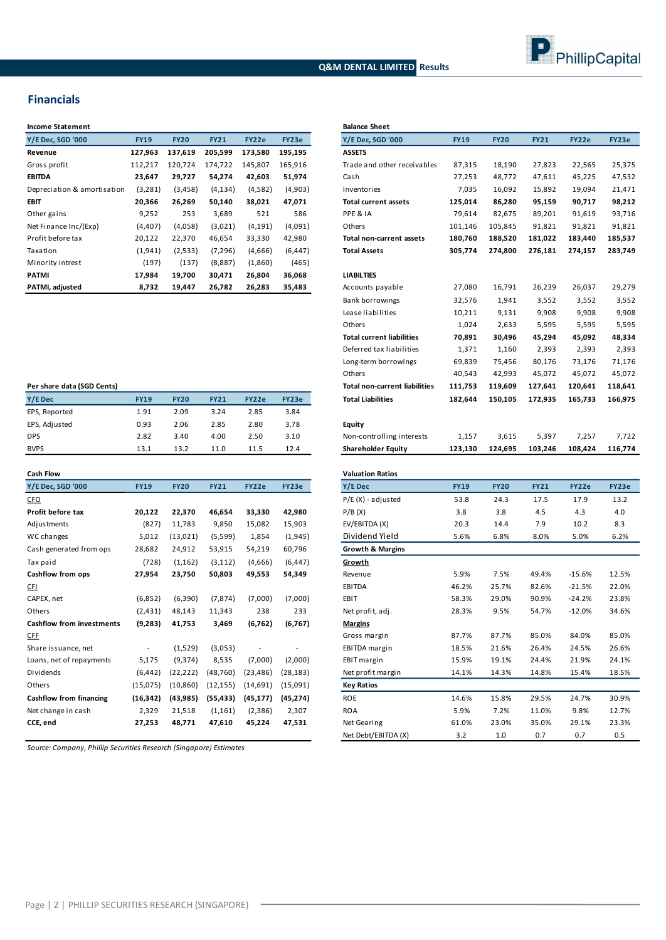#### **Q&M DENTAL LIMITED Results**



#### **Financials**

| <b>Income Statement</b>     |             |             |             |          |          | <b>Balance Sh</b> |
|-----------------------------|-------------|-------------|-------------|----------|----------|-------------------|
| Y/E Dec, SGD '000           | <b>FY19</b> | <b>FY20</b> | <b>FY21</b> | FY22e    | FY23e    | Y/E Dec, S        |
| Revenue                     | 127,963     | 137,619     | 205,599     | 173,580  | 195,195  | <b>ASSETS</b>     |
| Gross profit                | 112,217     | 120,724     | 174,722     | 145,807  | 165,916  | Trade and         |
| <b>EBITDA</b>               | 23,647      | 29,727      | 54,274      | 42,603   | 51,974   | Cash              |
| Depreciation & amortisation | (3, 281)    | (3, 458)    | (4, 134)    | (4,582)  | (4,903)  | Inventorie        |
| EBIT                        | 20,366      | 26,269      | 50,140      | 38,021   | 47,071   | Total curre       |
| Other gains                 | 9,252       | 253         | 3,689       | 521      | 586      | PPE & IA          |
| Net Finance Inc/(Exp)       | (4, 407)    | (4,058)     | (3,021)     | (4, 191) | (4,091)  | Others            |
| Profit before tax           | 20,122      | 22,370      | 46,654      | 33,330   | 42,980   | Total non-        |
| Taxation                    | (1,941)     | (2,533)     | (7, 296)    | (4,666)  | (6, 447) | <b>Total Asse</b> |
| Minority intrest            | (197)       | (137)       | (8,887)     | (1,860)  | (465)    |                   |
| <b>PATMI</b>                | 17,984      | 19,700      | 30,471      | 26,804   | 36,068   | <b>LIABILTIES</b> |
| PATMI, adjusted             | 8,732       | 19,447      | 26,782      | 26,283   | 35,483   | Accounts          |

| Income Statement                 |                          |             |             |           |           | <b>Balance Sheet</b>                 |                 |                 |             |          |         |
|----------------------------------|--------------------------|-------------|-------------|-----------|-----------|--------------------------------------|-----------------|-----------------|-------------|----------|---------|
| Y/E Dec, SGD '000                | <b>FY19</b>              | <b>FY20</b> | <b>FY21</b> | FY22e     | FY23e     | Y/E Dec, SGD '000                    | <b>FY19</b>     | <b>FY20</b>     | <b>FY21</b> | FY22e    | FY23e   |
| Revenue                          | 127,963                  | 137,619     | 205,599     | 173,580   | 195,195   | <b>ASSETS</b>                        |                 |                 |             |          |         |
| Gross profit                     | 112,217                  | 120,724     | 174,722     | 145,807   | 165,916   | Trade and other receivables          | 87,315          | 18,190          | 27,823      | 22,565   |         |
| EBITDA                           | 23,647                   | 29,727      | 54,274      | 42,603    | 51,974    | Cash                                 | 27,253          | 48,772          | 47,611      | 45,225   |         |
| Depreciation & amortisation      | (3, 281)                 | (3, 458)    | (4, 134)    | (4,582)   | (4,903)   | Inventories                          | 7,035           | 16,092          | 15,892      | 19,094   |         |
| EBIT                             | 20,366                   | 26,269      | 50,140      | 38,021    | 47,071    | <b>Total current assets</b>          | 125,014         | 86,280          | 95,159      | 90,717   |         |
| Other gains                      | 9,252                    | 253         | 3,689       | 521       | 586       | PPE & IA                             | 79,614          | 82,675          | 89,201      | 91,619   |         |
| Net Finance Inc/(Exp)            | (4,407)                  | (4,058)     | (3,021)     | (4, 191)  | (4,091)   | Others                               | 101,146         | 105,845         | 91,821      | 91,821   |         |
| Profit before tax                | 20,122                   | 22,370      | 46,654      | 33,330    | 42,980    | Total non-current assets             | 180,760         | 188,520         | 181,022     | 183,440  | 185,537 |
| Taxation                         | (1, 941)                 | (2,533)     | (7, 296)    | (4,666)   | (6, 447)  | <b>Total Assets</b>                  | 305,774         | 274,800         | 276,181     | 274,157  | 283,749 |
| Minority intrest                 | (197)                    | (137)       | (8,887)     | (1,860)   | (465)     |                                      |                 |                 |             |          |         |
| PATMI                            | 17,984                   | 19,700      | 30,471      | 26,804    | 36,068    | <b>LIABILTIES</b>                    |                 |                 |             |          |         |
| PATMI, adjusted                  | 8,732                    | 19,447      | 26,782      | 26,283    | 35,483    | Accounts payable                     | 27,080          | 16,791          | 26,239      | 26,037   |         |
|                                  |                          |             |             |           |           | Bank borrowings                      | 32,576          | 1,941           | 3,552       | 3,552    |         |
|                                  |                          |             |             |           |           | Lease liabilities                    |                 |                 | 9,908       | 9,908    |         |
|                                  |                          |             |             |           |           | Others                               | 10,211<br>1,024 | 9,131           | 5,595       | 5,595    |         |
|                                  |                          |             |             |           |           | <b>Total current liabilities</b>     | 70,891          | 2,633<br>30,496 | 45,294      | 45,092   |         |
|                                  |                          |             |             |           |           | Deferred tax liabilities             | 1,371           |                 | 2,393       | 2,393    |         |
|                                  |                          |             |             |           |           |                                      |                 | 1,160           |             |          |         |
|                                  |                          |             |             |           |           | Long-term borrowings                 | 69,839          | 75,456          | 80,176      | 73,176   |         |
|                                  |                          |             |             |           |           | Others                               | 40,543          | 42,993          | 45,072      | 45,072   |         |
| Per share data (SGD Cents)       |                          |             |             |           |           | <b>Total non-current liabilities</b> | 111,753         | 119,609         | 127,641     | 120,641  | 118,641 |
| Y/E Dec                          | <b>FY19</b>              | <b>FY20</b> | <b>FY21</b> | FY22e     | FY23e     | <b>Total Liabilities</b>             | 182,644         | 150,105         | 172,935     | 165,733  | 166,975 |
| EPS, Reported                    | 1.91                     | 2.09        | 3.24        | 2.85      | 3.84      |                                      |                 |                 |             |          |         |
| EPS, Adjusted                    | 0.93                     | 2.06        | 2.85        | 2.80      | 3.78      | Equity                               |                 |                 |             |          |         |
| DPS                              | 2.82                     | 3.40        | 4.00        | 2.50      | 3.10      | Non-controlling interests            | 1,157           | 3,615           | 5,397       | 7,257    |         |
| BVPS                             | 13.1                     | 13.2        | 11.0        | 11.5      | 12.4      | <b>Shareholder Equity</b>            | 123,130         | 124,695         | 103,246     | 108,424  | 116,774 |
|                                  |                          |             |             |           |           |                                      |                 |                 |             |          |         |
| Cash Flow                        |                          |             |             |           |           | <b>Valuation Ratios</b>              |                 |                 |             |          |         |
| Y/E Dec, SGD '000                | <b>FY19</b>              | <b>FY20</b> | <b>FY21</b> | FY22e     | FY23e     | Y/E Dec                              | <b>FY19</b>     | <b>FY20</b>     | <b>FY21</b> | FY22e    | FY23e   |
| <u>CFO</u>                       |                          |             |             |           |           | $P/E(X)$ - adjusted                  | 53.8            | 24.3            | 17.5        | 17.9     |         |
| Profit before tax                | 20,122                   | 22,370      | 46,654      | 33,330    | 42,980    | P/B(X)                               | 3.8             | 3.8             | 4.5         | 4.3      |         |
| Adjustments                      | (827)                    | 11,783      | 9,850       | 15,082    | 15,903    | EV/EBITDA (X)                        | 20.3            | 14.4            | 7.9         | 10.2     |         |
| WC changes                       | 5,012                    | (13,021)    | (5,599)     | 1,854     | (1, 945)  | Dividend Yield                       | 5.6%            | 6.8%            | 8.0%        | 5.0%     |         |
| Cash generated from ops          | 28,682                   | 24,912      | 53,915      | 54,219    | 60,796    | <b>Growth &amp; Margins</b>          |                 |                 |             |          |         |
| Tax paid                         | (728)                    | (1, 162)    | (3, 112)    | (4,666)   | (6, 447)  | Growth                               |                 |                 |             |          |         |
| Cashflow from ops                | 27,954                   | 23,750      | 50,803      | 49,553    | 54,349    | Revenue                              | 5.9%            | 7.5%            | 49.4%       | $-15.6%$ | 12.5%   |
| <u>CFI</u>                       |                          |             |             |           |           | <b>EBITDA</b>                        | 46.2%           | 25.7%           | 82.6%       | $-21.5%$ | 22.0%   |
| CAPEX, net                       | (6,852)                  | (6, 390)    | (7, 874)    | (7,000)   | (7,000)   | EBIT                                 | 58.3%           | 29.0%           | 90.9%       | $-24.2%$ | 23.8%   |
| Others                           | (2, 431)                 | 48,143      | 11,343      | 238       | 233       | Net profit, adj.                     | 28.3%           | 9.5%            | 54.7%       | $-12.0%$ | 34.6%   |
| <b>Cashflow from investments</b> | (9,283)                  | 41,753      | 3,469       | (6, 762)  | (6, 767)  | <b>Margins</b>                       |                 |                 |             |          |         |
| CFF                              |                          |             |             |           |           | Gross margin                         | 87.7%           | 87.7%           | 85.0%       | 84.0%    | 85.0%   |
| Share issuance, net              | $\overline{\phantom{a}}$ | (1,529)     | (3,053)     |           |           | EBITDA margin                        | 18.5%           | 21.6%           | 26.4%       | 24.5%    | 26.6%   |
| Loans, net of repayments         | 5,175                    | (9,374)     | 8,535       | (7,000)   | (2,000)   | EBIT margin                          | 15.9%           | 19.1%           | 24.4%       | 21.9%    | 24.1%   |
| Dividends                        | (6, 442)                 | (22, 222)   | (48, 760)   | (23, 486) | (28, 183) | Net profit margin                    | 14.1%           | 14.3%           | 14.8%       | 15.4%    | 18.5%   |
| Others                           | (15,075)                 | (10, 860)   | (12, 155)   | (14, 691) | (15,091)  | <b>Key Ratios</b>                    |                 |                 |             |          |         |
| Cashflow from financing          | (16, 342)                | (43, 985)   | (55,433)    | (45, 177) | (45, 274) | <b>ROE</b>                           | 14.6%           | 15.8%           | 29.5%       | 24.7%    | 30.9%   |
|                                  |                          |             |             |           |           |                                      |                 |                 |             |          |         |

Net Debt/EBITDA (X) 3.2 1.0 0.7 0.7 0.5

| Per share data (SGD Cents) |             |             |             |       |       | Total n        |
|----------------------------|-------------|-------------|-------------|-------|-------|----------------|
| Y/E Dec                    | <b>FY19</b> | <b>FY20</b> | <b>FY21</b> | FY22e | FY23e | <b>Total L</b> |
| EPS, Reported              | 1.91        | 2.09        | 3.24        | 2.85  | 3.84  |                |
| EPS, Adjusted              | 0.93        | 2.06        | 2.85        | 2.80  | 3.78  | <b>Equity</b>  |
| <b>DPS</b>                 | 2.82        | 3.40        | 4.00        | 2.50  | 3.10  | Non-co         |
| <b>BVPS</b>                | 13.1        | 13.2        | 11.0        | 11.5  | 12.4  | Shareh         |

| <b>Cash Flow</b>                 |             |             |             |           |           | <b>Valuation Ratios</b>                                   |             |             |             |          |       |
|----------------------------------|-------------|-------------|-------------|-----------|-----------|-----------------------------------------------------------|-------------|-------------|-------------|----------|-------|
| Y/E Dec, SGD '000                | <b>FY19</b> | <b>FY20</b> | <b>FY21</b> | FY22e     | FY23e     | Y/E Dec                                                   | <b>FY19</b> | <b>FY20</b> | <b>FY21</b> | FY22e    | FY23e |
| <b>CFO</b>                       |             |             |             |           |           | $P/E(X)$ - adjusted                                       | 53.8        | 24.3        | 17.5        | 17.9     | 13.2  |
| Profit before tax                | 20,122      | 22,370      | 46,654      | 33,330    | 42,980    | P/B(X)                                                    | 3.8         | 3.8         | 4.5         | 4.3      | 4.0   |
| Adjustments                      | (827)       | 11,783      | 9,850       | 15,082    | 15,903    | EV/EBITDA (X)                                             | 20.3        | 14.4        | 7.9         | 10.2     | 8.3   |
| WC changes                       | 5,012       | (13,021)    | (5, 599)    | 1,854     | (1,945)   | Dividend Yield                                            | 5.6%        | 6.8%        | 8.0%        | 5.0%     | 6.2%  |
| Cash generated from ops          | 28,682      | 24,912      | 53,915      | 54,219    | 60,796    | <b>Growth &amp; Margins</b>                               |             |             |             |          |       |
| Tax paid                         | (728)       | (1, 162)    | (3, 112)    | (4,666)   | (6, 447)  | Growth                                                    |             |             |             |          |       |
| Cashflow from ops                | 27,954      | 23,750      | 50,803      | 49,553    | 54,349    | Revenue                                                   | 5.9%        | 7.5%        | 49.4%       | $-15.6%$ | 12.5% |
| <u>CFI</u>                       |             |             |             |           |           | EBITDA                                                    | 46.2%       | 25.7%       | 82.6%       | $-21.5%$ | 22.0% |
| CAPEX, net                       | (6,852)     | (6,390)     | (7, 874)    | (7,000)   | (7,000)   | EBIT                                                      | 58.3%       | 29.0%       | 90.9%       | $-24.2%$ | 23.8% |
| Others                           | (2, 431)    | 48,143      | 11,343      | 238       | 233       | Net profit, adj.                                          | 28.3%       | 9.5%        | 54.7%       | $-12.0%$ | 34.6% |
| <b>Cashflow from investments</b> | (9,283)     | 41,753      | 3,469       | (6, 762)  | (6, 767)  | <b>Margins</b>                                            |             |             |             |          |       |
| <b>CFF</b>                       |             |             |             |           |           | Gross margin                                              | 87.7%       | 87.7%       | 85.0%       | 84.0%    | 85.0% |
| Share issuance, net              |             | (1,529)     | (3,053)     |           |           | EBITDA margin                                             | 18.5%       | 21.6%       | 26.4%       | 24.5%    | 26.6% |
| Loans, net of repayments         | 5,175       | (9,374)     | 8,535       | (7,000)   | (2,000)   | EBIT margin                                               | 15.9%       | 19.1%       | 24.4%       | 21.9%    | 24.1% |
| Dividends                        | (6, 442)    | (22, 222)   | (48, 760)   | (23, 486) | (28, 183) | Net profit margin                                         | 14.1%       | 14.3%       | 14.8%       | 15.4%    | 18.5% |
| Others                           | (15,075)    | (10, 860)   | (12, 155)   | (14, 691) | (15,091)  | <b>Key Ratios</b>                                         |             |             |             |          |       |
| <b>Cashflow from financing</b>   | (16, 342)   | (43, 985)   | (55, 433)   | (45, 177) | (45, 274) | <b>ROE</b>                                                | 14.6%       | 15.8%       | 29.5%       | 24.7%    | 30.9% |
| Net change in cash               | 2,329       | 21,518      | (1, 161)    | (2,386)   | 2,307     | <b>ROA</b>                                                | 5.9%        | 7.2%        | 11.0%       | 9.8%     | 12.7% |
| CCE, end                         | 27,253      | 48,771      | 47,610      | 45,224    | 47,531    | Net Gearing                                               | 61.0%       | 23.0%       | 35.0%       | 29.1%    | 23.3% |
|                                  |             |             |             |           |           | $\cdots$ $=$ $\cdots$ $\cdots$ $\cdots$ $\cdots$ $\cdots$ |             |             |             |          |       |

*Source: Company, Phillip Securities Research (Singapore) Estimates*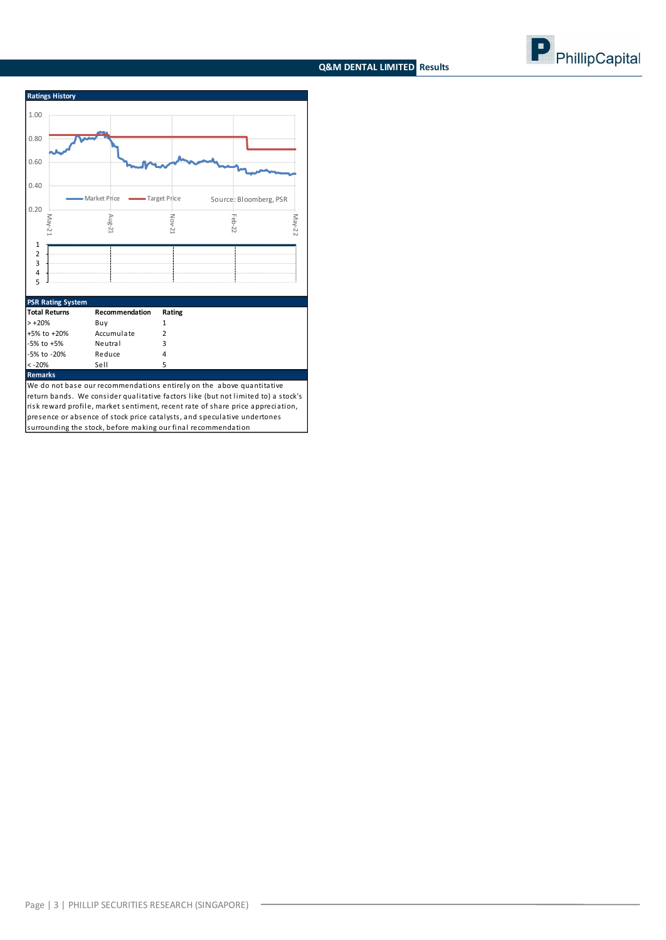### **Q&M DENTAL LIMITED Results**





#### **Remarks**

We do not base our recommendations entirely on the above quantitative return bands. We consider qualitative factors like (but not limited to) a stock's risk reward profile, market sentiment, recent rate of share price appreciation, presence or absence of stock price catalysts, and speculative undertones

surrounding the stock, before making our final recommendation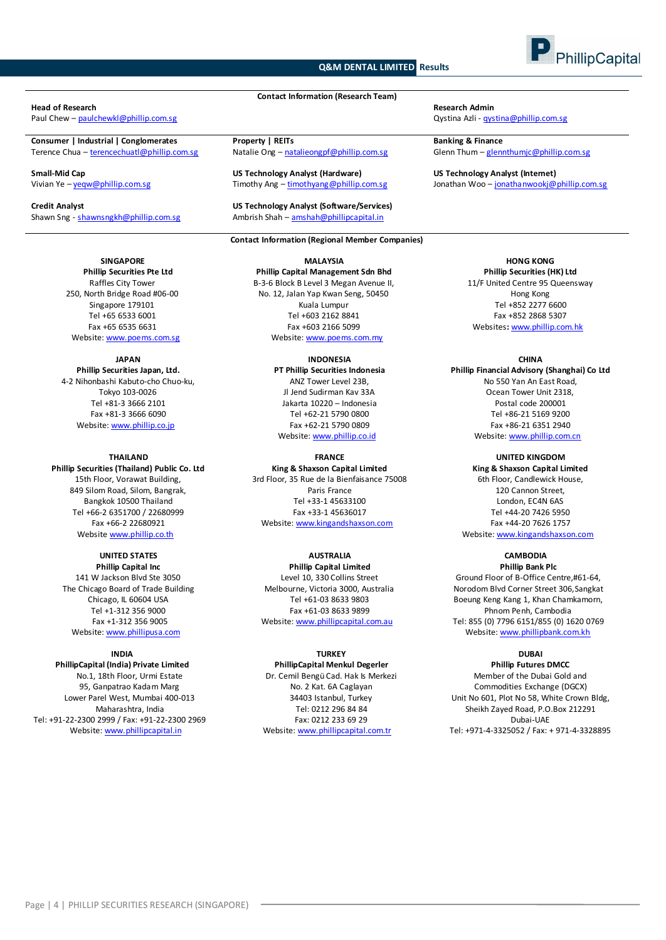#### **Q&M DENTAL LIMITED Results**



## **Head of Research Research Admin**

**Consumer | Industrial | Conglomerates Property | REITs Banking & Finance**

#### **SINGAPORE**

**Phillip Securities Pte Ltd** Raffles City Tower 250, North Bridge Road #06-00 Singapore 179101 Tel +65 6533 6001 Fax +65 6535 6631 Website: www.poems.com.sg

#### **JAPAN**

**Phillip Securities Japan, Ltd.** 4-2 Nihonbashi Kabuto-cho Chuo-ku, Tokyo 103-0026 Tel +81-3 3666 2101 Fax +81-3 3666 6090 Website[: www.phillip.co.jp](http://www.phillip.co.jp/)

#### **THAILAND Phillip Securities (Thailand) Public Co. Ltd** 15th Floor, Vorawat Building, 849 Silom Road, Silom, Bangrak,

Bangkok 10500 Thailand Tel +66-2 6351700 / 22680999 Fax +66-2 22680921 Website [www.phillip.co.th](http://www.phillip.co.th/)

#### **UNITED STATES**

**Phillip Capital Inc** 141 W Jackson Blvd Ste 3050 The Chicago Board of Trade Building Chicago, IL 60604 USA Tel +1-312 356 9000 Fax +1-312 356 9005 Website[: www.phillipusa.com](http://www.phillipusa.com/)

#### **INDIA**

**PhillipCapital (India) Private Limited** No.1, 18th Floor, Urmi Estate 95, Ganpatrao Kadam Marg Lower Parel West, Mumbai 400-013 Maharashtra, India Tel: +91-22-2300 2999 / Fax: +91-22-2300 2969 Website[: www.phillipcapital.in](http://www.phillipcapital.in/)

**Contact Information (Research Team)**

**Small-Mid Cap Cap Capacity Capacity Capacity Capacity Capacity Analyst (Hardware) <b>Capacity Capacity Capacity**<br> **Straw Angle Capacity Angle Capacity Angle Capacity Angle Capacity Capacity Capacity Capacity Capacity Ca** 

**Credit Analyst US Technology Analyst (Software/Services)** Shawn Sng - [shawnsngkh@phillip.com.sg](mailto:shawnsngkh@phillip.com.sg) Ambrish Shah – amshah@phillipcapital.in

#### **Contact Information (Regional Member Companies)**

### **MALAYSIA**

**Phillip Capital Management Sdn Bhd** B-3-6 Block B Level 3 Megan Avenue II, No. 12, Jalan Yap Kwan Seng, 50450 Kuala Lumpur Tel +603 2162 8841 Fax +603 2166 5099 Website[: www.poems.com.my](http://www.poems.com.my/)

#### **INDONESIA PT Phillip Securities Indonesia**

ANZ Tower Level 23B, Jl Jend Sudirman Kav 33A Jakarta 10220 – Indonesia Tel +62-21 5790 0800 Fax +62-21 5790 0809 Website: [www.phillip.co.id](http://www.phillip.co.id/)

#### **FRANCE**

**King & Shaxson Capital Limited** 3rd Floor, 35 Rue de la Bienfaisance 75008 Paris France Tel +33-1 45633100 Fax +33-1 45636017 Website[: www.kingandshaxson.com](http://www.kingandshaxson.com/)

#### **AUSTRALIA**

**Phillip Capital Limited** Level 10, 330 Collins Street Melbourne, Victoria 3000, Australia Tel +61-03 8633 9803 Fax +61-03 8633 9899 Website[: www.phillipcapital.com.au](http://www.phillipcapital.com.au/)

#### **TURKEY**

**PhillipCapital Menkul Degerler** Dr. Cemil Bengü Cad. Hak Is Merkezi No. 2 Kat. 6A Caglayan 34403 Istanbul, Turkey Tel: 0212 296 84 84 Fax: 0212 233 69 29 Website[: www.phillipcapital.com.tr](http://www.phillipcapital.com.tr/)

Paul Chew – **[paulchewkl@phillip.com.sg](mailto:paulchewkl@phillip.com.sg)** and the pathology of the common and the common Azii - qystina Azii - qystina @phillip.com.sg

Terence Chua – terencechuatl@phillip.com.sg Matalie Ong – [natalieongpf@phillip.com.sg](mailto:natalieongpf@phillip.com.sg) Glenn Thum – glennthumjc@phillip.com.sg

Jonathan Woo – jonathanwookj@phillip.com.sg

**HONG KONG Phillip Securities (HK) Ltd** 11/F United Centre 95 Queensway Hong Kong Tel +852 2277 6600 Fax +852 2868 5307 Websites**:** [www.phillip.com.hk](http://www.phillip.com.hk/)

#### **CHINA**

**Phillip Financial Advisory (Shanghai) Co Ltd** No 550 Yan An East Road, Ocean Tower Unit 2318, Postal code 200001 Tel +86-21 5169 9200 Fax +86-21 6351 2940 Website[: www.phillip.com.cn](http://www.phillip.com.cn/)

**UNITED KINGDOM**

**King & Shaxson Capital Limited** 6th Floor, Candlewick House, 120 Cannon Street, London, EC4N 6AS Tel +44-20 7426 5950 Fax +44-20 7626 1757 Website[: www.kingandshaxson.com](http://www.kingandshaxson.com/)

#### **CAMBODIA**

**Phillip Bank Plc** Ground Floor of B-Office Centre,#61-64, Norodom Blvd Corner Street 306,Sangkat Boeung Keng Kang 1, Khan Chamkamorn, Phnom Penh, Cambodia Tel: 855 (0) 7796 6151/855 (0) 1620 0769 Website[: www.phillipbank.com.kh](http://www.phillipbank.com.kh/)

#### **DUBAI**

**Phillip Futures DMCC** Member of the Dubai Gold and Commodities Exchange (DGCX) Unit No 601, Plot No 58, White Crown Bldg, Sheikh Zayed Road, P.O.Box 212291 Dubai-UAE Tel: +971-4-3325052 / Fax: + 971-4-3328895